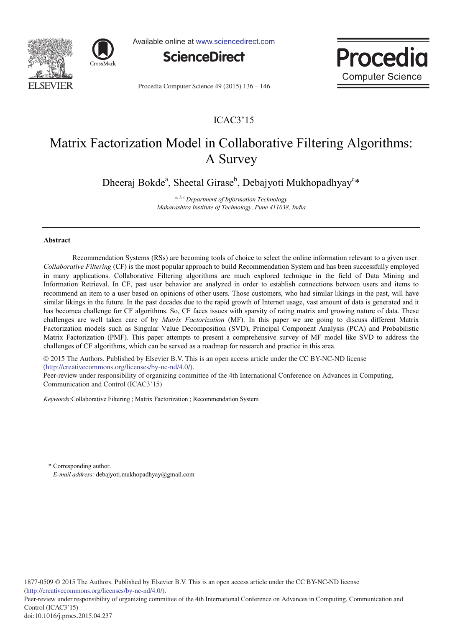



Available online at www.sciencedirect.com



Procec **Computer Science** 

Procedia Computer Science 49 (2015) 136 - 146

# ICAC3'15

# Matrix Factorization Model in Collaborative Filtering Algorithms: A Survey

Dheeraj Bokde<sup>a</sup>, Sheetal Girase<sup>b</sup>, Debajyoti Mukhopadhyay<sup>c\*</sup>

<sup>a, b, c</sup> Department of Information Technology Maharashtra Institute of Technology, Pune 411038, India

# **-**

Recommendation Systems (RSs) are becoming tools of choice to select the online information relevant to a given user. Collaborative Filtering (CF) is the most popular approach to build Recommendation System and has been successfully employed in many applications. Collaborative Filtering algorithms are much explored technique in the field of Data Mining and Information Retrieval. In CF, past user behavior are analyzed in order to establish connections between users and items to recommend an item to a user based on opinions of other users. Those customers, who had similar likings in the past, will have similar likings in the future. In the past decades due to the rapid growth of Internet usage, vast amount of data is generated and it has becomea challenge for CF algorithms. So, CF faces issues with sparsity of rating matrix and growing nature of data. These challenges are well taken care of by *Matrix Factorization* (MF). In this paper we are going to discuss different Matrix Factorization models such as Singular Value Decomposition (SVD), Principal Component Analysis (PCA) and Probabilistic Matrix Factorization (PMF). This paper attempts to present a comprehensive survey of MF model like SVD to address the challenges of CF algorithms, which can be served as a roadmap for research and practice in this area.

 $\frac{1}{\sqrt{2}}$  (http://creativecommons.org/licenses/by-nc-nd/4.0/). © 2015 The Authors. Published by Elsevier B.V. This is an open access article under the CC BY-NC-ND license

Peer-review under responsibility of organizing committee of the 4th International Conference on Advances in Computing, Communication and Control (ICAC3'15)

Keywords: Collaborative Filtering ; Matrix Factorization ; Recommendation System

\* Corresponding author. E-mail address: debajyoti.mukhopadhyay@gmail.com

Peer-review under responsibility of organizing committee of the 4th International Conference on Advances in Computing, Communication and Control (ICAC3'15)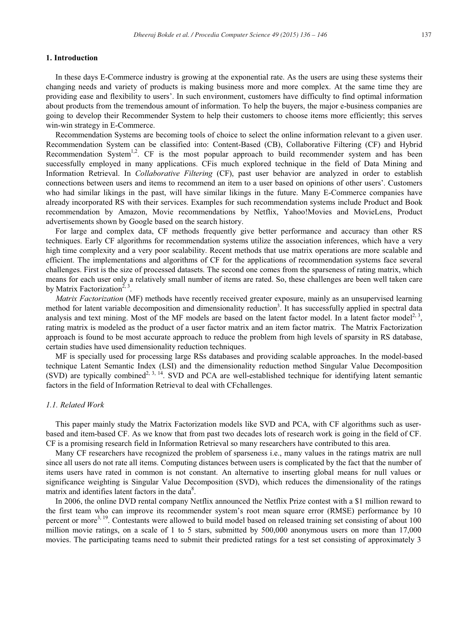# 1. Introduction

In these days E-Commerce industry is growing at the exponential rate. As the users are using these systems their changing needs and variety of products is making business more and more complex. At the same time they are providing ease and flexibility to users'. In such environment, customers have difficulty to find optimal information about products from the tremendous amount of information. To help the buyers, the major e-business companies are going to develop their Recommender System to help their customers to choose items more efficiently; this serves win-win strategy in E-Commerce.

Recommendation Systems are becoming tools of choice to select the online information relevant to a given user. Recommendation System can be classified into: Content-Based (CB), Collaborative Filtering (CF) and Hybrid Recommendation System<sup>1,2</sup>. CF is the most popular approach to build recommender system and has been successfully employed in many applications. CFis much explored technique in the field of Data Mining and Information Retrieval. In *Collaborative Filtering* (CF), past user behavior are analyzed in order to establish connections between users and items to recommend an item to a user based on opinions of other users'. Customers who had similar likings in the past, will have similar likings in the future. Many E-Commerce companies have already incorporated RS with their services. Examples for such recommendation systems include Product and Book recommendation by Amazon, Movie recommendations by Netflix, Yahoo!Movies and MovieLens, Product advertisements shown by Google based on the search history.

For large and complex data, CF methods frequently give better performance and accuracy than other RS techniques. Early CF algorithms for recommendation systems utilize the association inferences, which have a very high time complexity and a very poor scalability. Recent methods that use matrix operations are more scalable and efficient. The implementations and algorithms of CF for the applications of recommendation systems face several challenges. First is the size of processed datasets. The second one comes from the sparseness of rating matrix, which means for each user only a relatively small number of items are rated. So, these challenges are been well taken care by Matrix Factorization<sup>2, 3</sup>.

*Matrix Factorization* (MF) methods have recently received greater exposure, mainly as an unsupervised learning method for latent variable decomposition and dimensionality reduction<sup>3</sup>. It has successfully applied in spectral data analysis and text mining. Most of the MF models are based on the latent factor model. In a latent factor model<sup>2, 3</sup>, rating matrix is modeled as the product of a user factor matrix and an item factor matrix. The Matrix Factorization approach is found to be most accurate approach to reduce the problem from high levels of sparsity in RS database, certain studies have used dimensionality reduction techniques.

MF is specially used for processing large RSs databases and providing scalable approaches. In the model-based technique Latent Semantic Index (LSI) and the dimensionality reduction method Singular Value Decomposition (SVD) are typically combined<sup>2, 3, 14</sup>. SVD and PCA are well-established technique for identifying latent semantic factors in the field of Information Retrieval to deal with CFchallenges.

# 1.1. Related Work

This paper mainly study the Matrix Factorization models like SVD and PCA, with CF algorithms such as userbased and item-based CF. As we know that from past two decades lots of research work is going in the field of CF. CF is a promising research field in Information Retrieval so many researchers have contributed to this area.

Many CF researchers have recognized the problem of sparseness *i.e.*, many values in the ratings matrix are null since all users do not rate all items. Computing distances between users is complicated by the fact that the number of items users have rated in common is not constant. An alternative to inserting global means for null values or significance weighting is Singular Value Decomposition (SVD), which reduces the dimensionality of the ratings matrix and identifies latent factors in the data<sup>8</sup>.

In 2006, the online DVD rental company Netflix announced the Netflix Prize contest with a \$1 million reward to the first team who can improve its recommender system's root mean square error (RMSE) performance by 10 percent or more<sup>3, 19</sup>. Contestants were allowed to build model based on released training set consisting of about 100 million movie ratings, on a scale of 1 to 5 stars, submitted by 500,000 anonymous users on more than 17,000 movies. The participating teams need to submit their predicted ratings for a test set consisting of approximately 3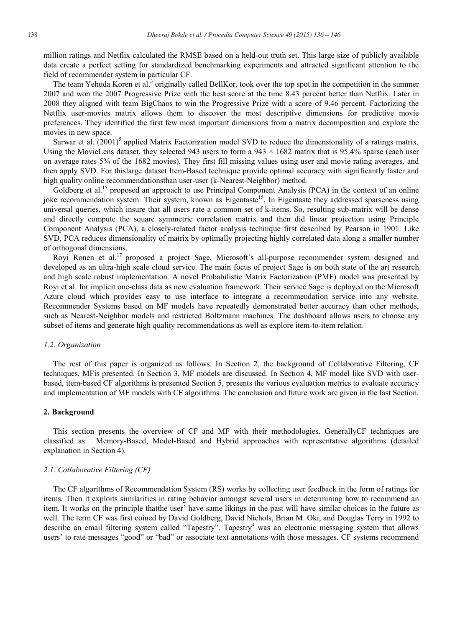million ratings and Netflix calculated the RMSE based on a held-out truth set. This large size of publicly available data create a perfect setting for standardized benchmarking experiments and attracted significant attention to the field of recommender system in particular CF.

The team Yehuda Koren et al.<sup>3</sup> originally called BellKor, took over the top spot in the competition in the summer 2007 and won the 2007 Progressive Prize with the best score at the time 8.43 percent better than Netflix. Later in 2008 they aligned with team BigChaos to win the Progressive Prize with a score of 9.46 percent. Factorizing the Netflix user-movies matrix allows them to discover the most descriptive dimensions for predictive movie preferences. They identified the first few most important dimensions from a matrix decomposition and explore the movies in new space.

Sarwar et al.  $(2001)^5$  applied Matrix Factorization model SVD to reduce the dimensionality of a ratings matrix. Using the MovieLens dataset, they selected 943 users to form a  $943 \times 1682$  matrix that is 95.4% sparse (each user on average rates 5% of the 1682 movies). They first fill missing values using user and movie rating averages, and then apply SVD. For this large dataset Item-Based technique provide optimal accuracy with significantly faster and high quality online recommendations than user-user (k-Nearest-Neighbor) method.

Goldberg et al.<sup>15</sup> proposed an approach to use Principal Component Analysis (PCA) in the context of an online joke recommendation system. Their system, known as Eigentaste<sup>15</sup>, In Eigentaste they addressed sparseness using universal queries, which insure that all users rate a common set of k-items. So, resulting sub-matrix will be dense and directly compute the square symmetric correlation matrix and then did linear projection using Principle Component Analysis (PCA), a closely-related factor analysis technique first described by Pearson in 1901. Like SVD, PCA reduces dimensionality of matrix by optimally projecting highly correlated data along a smaller number of orthogonal dimensions.

Royi Ronen et al.<sup>17</sup> proposed a project Sage, Microsoft's all-purpose recommender system designed and developed as an ultra-high scale cloud service. The main focus of project Sage is on both state of the art research and high scale robust implementation. A novel Probabilistic Matrix Factorization (PMF) model was presented by Royi et al. for implicit one-class data as new evaluation framework. Their service Sage is deployed on the Microsoft Azure cloud which provides easy to use interface to integrate a recommendation service into any website. Recommender Systems based on MF models have repeatedly demonstrated better accuracy than other methods, such as Nearest-Neighbor models and restricted Boltzmann machines. The dashboard allows users to choose any subset of items and generate high quality recommendations as well as explore item-to-item relation.

#### 1.2. Organization

The rest of this paper is organized as follows. In Section 2, the background of Collaborative Filtering, CF techniques, MFis presented. In Section 3, MF models are discussed. In Section 4, MF model like SVD with userbased, item-based CF algorithms is presented Section 5, presents the various evaluation metrics to evaluate accuracy and implementation of MF models with CF algorithms. The conclusion and future work are given in the last Section.

# 2. Background

This section presents the overview of CF and MF with their methodologies. GenerallyCF techniques are classified as: Memory-Based, Model-Based and Hybrid approaches with representative algorithms (detailed explanation in Section 4).

# 2.1. Collaborative Filtering (CF)

The CF algorithms of Recommendation System (RS) works by collecting user feedback in the form of ratings for items. Then it exploits similarities in rating behavior amongst several users in determining how to recommend an item. It works on the principle that the user' have same likings in the past will have similar choices in the future as well. The term CF was first coined by David Goldberg, David Nichols, Brian M. Oki, and Douglas Terry in 1992 to describe an email filtering system called "Tapestry". Tapestry<sup>4</sup> was an electronic messaging system that allows users' to rate messages "good" or "bad" or associate text annotations with those messages. CF systems recommend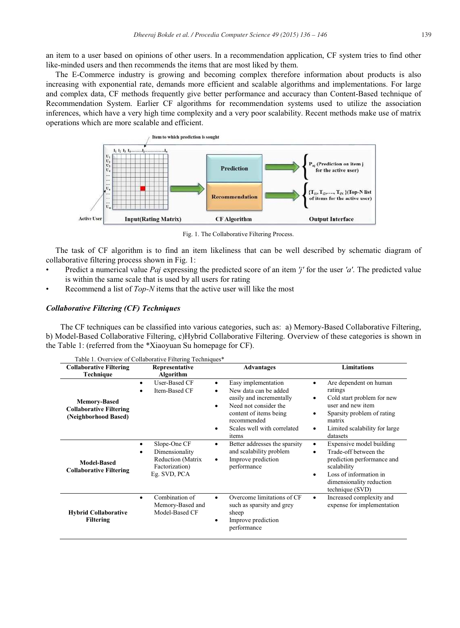an item to a user based on opinions of other users. In a recommendation application, CF system tries to find other like-minded users and then recommends the items that are most liked by them.

The E-Commerce industry is growing and becoming complex therefore information about products is also increasing with exponential rate, demands more efficient and scalable algorithms and implementations. For large and complex data, CF methods frequently give better performance and accuracy than Content-Based technique of Recommendation System. Earlier CF algorithms for recommendation systems used to utilize the association inferences, which have a very high time complexity and a very poor scalability. Recent methods make use of matrix operations which are more scalable and efficient.



Fig. 1. The Collaborative Filtering Process.

The task of CF algorithm is to find an item likeliness that can be well described by schematic diagram of collaborative filtering process shown in Fig. 1:

- Predict a numerical value Paj expressing the predicted score of an item 'j' for the user 'a'. The predicted value  $\bullet$ is within the same scale that is used by all users for rating
- Recommend a list of Top-N items that the active user will like the most

# **Collaborative Filtering (CF) Techniques**

The CF techniques can be classified into various categories, such as: a) Memory-Based Collaborative Filtering, b) Model-Based Collaborative Filtering, c)Hybrid Collaborative Filtering. Overview of these categories is shown in the Table 1: (referred from the \*Xiaoyuan Su homepage for CF).

| <b>Collaborative Filtering</b><br>Technique                                   | Representative<br>Algorithm                                                                                            | <b>Advantages</b>                                                                                                                                                                                              | <b>Limitations</b>                                                                                                                                                                     |
|-------------------------------------------------------------------------------|------------------------------------------------------------------------------------------------------------------------|----------------------------------------------------------------------------------------------------------------------------------------------------------------------------------------------------------------|----------------------------------------------------------------------------------------------------------------------------------------------------------------------------------------|
| <b>Memory-Based</b><br><b>Collaborative Filtering</b><br>(Neighborhood Based) | <b>User-Based CF</b><br>$\bullet$<br>Item-Based CF<br>٠                                                                | Easy implementation<br>٠<br>New data can be added<br>٠<br>easily and incrementally<br>Need not consider the<br>$\bullet$<br>content of items being<br>recommended<br>Scales well with correlated<br>٠<br>items | Are dependent on human<br>ratings<br>Cold start problem for new<br>٠<br>user and new item<br>Sparsity problem of rating<br>matrix<br>Limited scalability for large<br>٠<br>datasets    |
| <b>Model-Based</b><br><b>Collaborative Filtering</b>                          | Slope-One CF<br>$\bullet$<br>Dimensionality<br>$\bullet$<br><b>Reduction</b> (Matrix<br>Factorization)<br>Eg. SVD, PCA | Better addresses the sparsity<br>٠<br>and scalability problem<br>Improve prediction<br>٠<br>performance                                                                                                        | Expensive model building<br>٠<br>Trade-off between the<br>٠<br>prediction performance and<br>scalability<br>Loss of information in<br>٠<br>dimensionality reduction<br>technique (SVD) |
| <b>Hybrid Collaborative</b><br>Filtering                                      | Combination of<br>٠<br>Memory-Based and<br>Model-Based CF                                                              | Overcome limitations of CF<br>٠<br>such as sparsity and grey<br>sheep<br>Improve prediction<br>٠<br>performance                                                                                                | Increased complexity and<br>٠<br>expense for implementation                                                                                                                            |

Table 1 Overview of Collaborative Filtering Techniques\*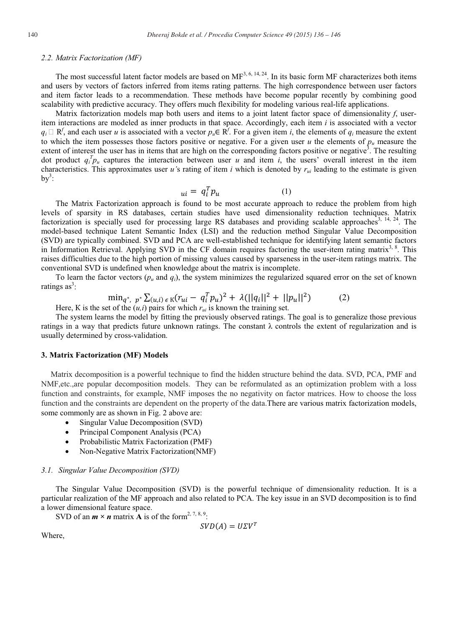# 2.2. Matrix Factorization (MF)

The most successful latent factor models are based on  $MF^{3,6,14,24}$ . In its basic form MF characterizes both items and users by vectors of factors inferred from items rating patterns. The high correspondence between user factors and item factor leads to a recommendation. These methods have become popular recently by combining good scalability with predictive accuracy. They offers much flexibility for modeling various real-life applications.

Matrix factorization models map both users and items to a joint latent factor space of dimensionality f, useritem interactions are modeled as inner products in that space. Accordingly, each item i is associated with a vector  $q_i \square R'$ , and each user u is associated with a vector  $p_u \in R'$ . For a given item i, the elements of  $q_i$  measure the extent to which the item possesses those factors positive or negative. For a given user u the elements of  $p_u$  measure the extent of interest the user has in items that are high on the corresponding factors positive or negative<sup>3</sup>. The resulting dot product  $q_i^T p_i$  captures the interaction between user u and item i, the users' overall interest in the item characteristics. This approximates user u's rating of item i which is denoted by  $r_{ui}$  leading to the estimate is given  $by^3$ :

$$
_{ui} = q_i^T p_u \tag{1}
$$

The Matrix Factorization approach is found to be most accurate approach to reduce the problem from high levels of sparsity in RS databases, certain studies have used dimensionality reduction techniques. Matrix factorization is specially used for processing large RS databases and providing scalable approaches<sup>3, 14, 24</sup>. The model-based technique Latent Semantic Index (LSI) and the reduction method Singular Value Decomposition (SVD) are typically combined. SVD and PCA are well-established technique for identifying latent semantic factors in Information Retrieval. Applying SVD in the CF domain requires factoring the user-item rating matrix<sup>3, 8</sup>. This raises difficulties due to the high portion of missing values caused by sparseness in the user-item ratings matrix. The conventional SVD is undefined when knowledge about the matrix is incomplete.

To learn the factor vectors  $(p_u$  and  $q_i$ ), the system minimizes the regularized squared error on the set of known ratings  $as^3$ :

$$
\min_{q^*, p^*} \sum_{(u,i) \in K} (r_{ui} - q_i^T p_u)^2 + \lambda (||q_i||^2 + ||p_u||^2) \tag{2}
$$

Here, K is the set of the  $(u, i)$  pairs for which  $r_{ui}$  is known the training set.

The system learns the model by fitting the previously observed ratings. The goal is to generalize those previous ratings in a way that predicts future unknown ratings. The constant  $\lambda$  controls the extent of regularization and is usually determined by cross-validation.

#### 3. Matrix Factorization (MF) Models

Matrix decomposition is a powerful technique to find the hidden structure behind the data. SVD, PCA, PMF and NMF, etc., are popular decomposition models. They can be reformulated as an optimization problem with a loss function and constraints, for example, NMF imposes the no negativity on factor matrices. How to choose the loss function and the constraints are dependent on the property of the data. There are various matrix factorization models, some commonly are as shown in Fig. 2 above are:

- Singular Value Decomposition (SVD)
- Principal Component Analysis (PCA)
- Probabilistic Matrix Factorization (PMF)
- Non-Negative Matrix Factorization(NMF)

#### 3.1. Singular Value Decomposition (SVD)

The Singular Value Decomposition (SVD) is the powerful technique of dimensionality reduction. It is a particular realization of the MF approach and also related to PCA. The key issue in an SVD decomposition is to find a lower dimensional feature space.

SVD of an  $m \times n$  matrix **A** is of the form<sup>2, 7, 8, 9:</sup>

$$
SVD(A) = U\Sigma V^T
$$

Where,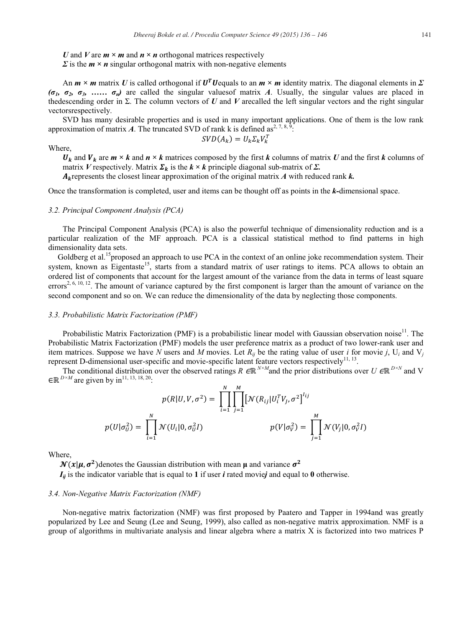U and V are  $m \times m$  and  $n \times n$  orthogonal matrices respectively

 $\Sigma$  is the  $m \times n$  singular orthogonal matrix with non-negative elements

An  $m \times m$  matrix U is called orthogonal if  $U^T U$  equals to an  $m \times m$  identity matrix. The diagonal elements in  $\Sigma$  $(\sigma_1, \sigma_2, \sigma_3, \ldots, \sigma_n)$  are called the singular values of matrix A. Usually, the singular values are placed in the descending order in  $\Sigma$ . The column vectors of U and V are called the left singular vectors and the right singular vectorsrespectively.

SVD has many desirable properties and is used in many important applications. One of them is the low rank approximation of matrix A. The truncated SVD of rank k is defined as<sup>2, 7, 8, 9</sup>:

$$
SVD(A_k) = U_k \Sigma_k V_k^T
$$

Where.

 $U_k$  and  $V_k$  are  $m \times k$  and  $n \times k$  matrices composed by the first k columns of matrix U and the first k columns of matrix V respectively. Matrix  $\Sigma_k$  is the  $k \times k$  principle diagonal sub-matrix of  $\Sigma$ .

 $A_k$  represents the closest linear approximation of the original matrix A with reduced rank k.

Once the transformation is completed, user and items can be thought off as points in the k-dimensional space.

#### 3.2. Principal Component Analysis (PCA)

The Principal Component Analysis (PCA) is also the powerful technique of dimensionality reduction and is a particular realization of the MF approach. PCA is a classical statistical method to find patterns in high dimensionality data sets.

Goldberg et al.<sup>15</sup> proposed an approach to use PCA in the context of an online joke recommendation system. Their system, known as Eigentaste<sup>15</sup>, starts from a standard matrix of user ratings to items. PCA allows to obtain an ordered list of components that account for the largest amount of the variance from the data in terms of least square errors<sup>2, 6, 10, 12</sup>. The amount of variance captured by the first component is larger than the amount of variance on the second component and so on. We can reduce the dimensionality of the data by neglecting those components.

#### 3.3. Probabilistic Matrix Factorization (PMF)

Probabilistic Matrix Factorization (PMF) is a probabilistic linear model with Gaussian observation noise<sup>11</sup>. The Probabilistic Matrix Factorization (PMF) models the user preference matrix as a product of two lower-rank user and item matrices. Suppose we have N users and M movies. Let  $R_{ij}$  be the rating value of user i for movie j, U<sub>i</sub> and V<sub>i</sub> represent D-dimensional user-specific and movie-specific latent feature vectors respectively<sup>11, 13</sup>.

The conditional distribution over the observed ratings R  $\in \mathbb{R}^{N \times M}$  and the prior distributions over U  $\in \mathbb{R}^{D \times N}$  and V  $\in \mathbb{R}^{D \times M}$  are given by in<sup>11, 13, 18, 20</sup>:

$$
p(R|U, V, \sigma^2) = \prod_{i=1}^N \prod_{j=1}^M [\mathcal{N}(R_{ij}|U_i^T V_j, \sigma^2]^{I_{ij}}
$$

$$
p(U|\sigma_U^2) = \prod_{i=1}^N \mathcal{N}(U_i|0, \sigma_U^2 I) \qquad p(V|\sigma_V^2) = \prod_{j=1}^M \mathcal{N}(V_j|0, \sigma_V^2 I)
$$

Where.

 $\mathcal{N}(x|\mu, \sigma^2)$  denotes the Gaussian distribution with mean  $\mu$  and variance  $\sigma^2$ 

 $I_{ii}$  is the indicator variable that is equal to 1 if user *i* rated moviej and equal to 0 otherwise.

# 3.4. Non-Negative Matrix Factorization (NMF)

Non-negative matrix factorization (NMF) was first proposed by Paatero and Tapper in 1994and was greatly popularized by Lee and Seung (Lee and Seung, 1999), also called as non-negative matrix approximation. NMF is a group of algorithms in multivariate analysis and linear algebra where a matrix X is factorized into two matrices P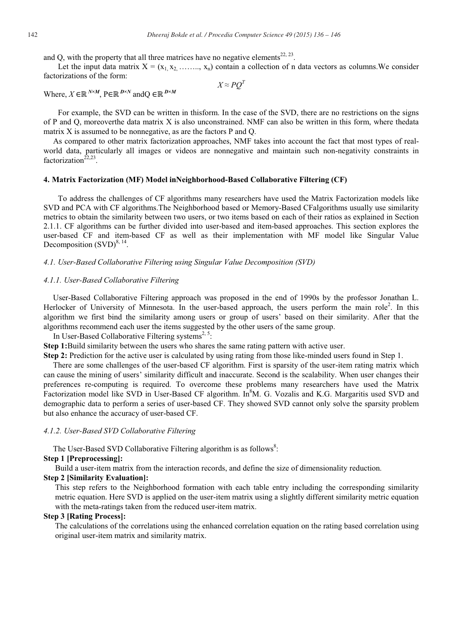and Q, with the property that all three matrices have no negative elements<sup>22, 23</sup>.

Let the input data matrix  $X = (x_1, x_2, \ldots, x_n)$  contain a collection of n data vectors as columns. We consider factorizations of the form:

 $X \approx PO^T$ 

Where,  $X \in \mathbb{R}^{N \times M}$ ,  $P \in \mathbb{R}^{D \times N}$  and  $Q \in \mathbb{R}^{D \times M}$ 

For example, the SVD can be written in thisform. In the case of the SVD, there are no restrictions on the signs of P and Q, moreoverthe data matrix X is also unconstrained. NMF can also be written in this form, where thedata matrix X is assumed to be nonnegative, as are the factors P and Q.

As compared to other matrix factorization approaches, NMF takes into account the fact that most types of realworld data, particularly all images or videos are nonnegative and maintain such non-negativity constraints in factorization<sup> $22,23$ </sup>.

# 4. Matrix Factorization (MF) Model in Neighborhood-Based Collaborative Filtering (CF)

To address the challenges of CF algorithms many researchers have used the Matrix Factorization models like SVD and PCA with CF algorithms. The Neighborhood based or Memory-Based CF algorithms usually use similarity metrics to obtain the similarity between two users, or two items based on each of their ratios as explained in Section 2.1.1. CF algorithms can be further divided into user-based and item-based approaches. This section explores the user-based CF and item-based CF as well as their implementation with MF model like Singular Value Decomposition  $(SVD)^{8, 14}$ .

# 4.1. User-Based Collaborative Filtering using Singular Value Decomposition (SVD)

# 4.1.1. User-Based Collaborative Filtering

User-Based Collaborative Filtering approach was proposed in the end of 1990s by the professor Jonathan L. Herlocker of University of Minnesota. In the user-based approach, the users perform the main role<sup>2</sup>. In this algorithm we first bind the similarity among users or group of users' based on their similarity. After that the algorithms recommend each user the items suggested by the other users of the same group.

In User-Based Collaborative Filtering systems<sup>2, 5</sup>:

Step 1:Build similarity between the users who shares the same rating pattern with active user.

Step 2: Prediction for the active user is calculated by using rating from those like-minded users found in Step 1.

There are some challenges of the user-based CF algorithm. First is sparsity of the user-item rating matrix which can cause the mining of users' similarity difficult and inaccurate. Second is the scalability. When user changes their preferences re-computing is required. To overcome these problems many researchers have used the Matrix Factorization model like SVD in User-Based CF algorithm. In<sup>8</sup>M. G. Vozalis and K.G. Margaritis used SVD and demographic data to perform a series of user-based CF. They showed SVD cannot only solve the sparsity problem but also enhance the accuracy of user-based CF.

#### 4.1.2. User-Based SVD Collaborative Filtering

The User-Based SVD Collaborative Filtering algorithm is as follows<sup>8</sup>:

# **Step 1 [Preprocessing]:**

Build a user-item matrix from the interaction records, and define the size of dimensionality reduction.

# **Step 2 [Similarity Evaluation]:**

This step refers to the Neighborhood formation with each table entry including the corresponding similarity metric equation. Here SVD is applied on the user-item matrix using a slightly different similarity metric equation with the meta-ratings taken from the reduced user-item matrix.

# **Step 3 [Rating Process]:**

The calculations of the correlations using the enhanced correlation equation on the rating based correlation using original user-item matrix and similarity matrix.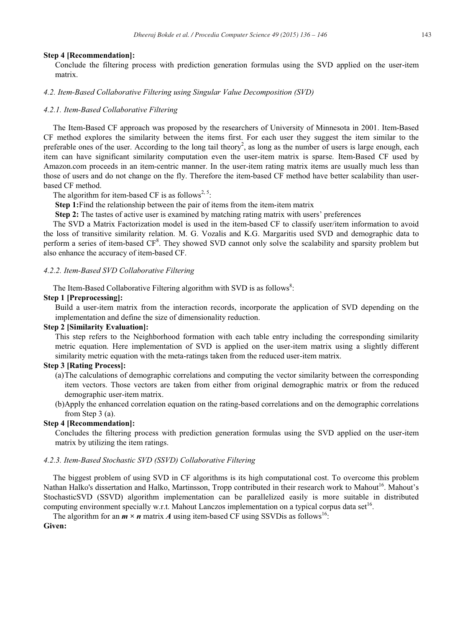# **Step 4 [Recommendation]:**

Conclude the filtering process with prediction generation formulas using the SVD applied on the user-item matrix.

4.2. Item-Based Collaborative Filtering using Singular Value Decomposition (SVD)

# 4.2.1. Item-Based Collaborative Filtering

The Item-Based CF approach was proposed by the researchers of University of Minnesota in 2001. Item-Based CF method explores the similarity between the items first. For each user they suggest the item similar to the preferable ones of the user. According to the long tail theory<sup>2</sup>, as long as the number of users is large enough, each item can have significant similarity computation even the user-item matrix is sparse. Item-Based CF used by Amazon.com proceeds in an item-centric manner. In the user-item rating matrix items are usually much less than those of users and do not change on the fly. Therefore the item-based CF method have better scalability than userbased CF method.

The algorithm for item-based CF is as follows<sup>2, 5</sup>:

Step 1: Find the relationship between the pair of items from the item-item matrix

Step 2: The tastes of active user is examined by matching rating matrix with users' preferences

The SVD a Matrix Factorization model is used in the item-based CF to classify user/item information to avoid the loss of transitive similarity relation. M. G. Vozalis and K.G. Margaritis used SVD and demographic data to perform a series of item-based CF<sup>8</sup>. They showed SVD cannot only solve the scalability and sparsity problem but also enhance the accuracy of item-based CF.

# 4.2.2. Item-Based SVD Collaborative Filtering

The Item-Based Collaborative Filtering algorithm with SVD is as follows<sup>8</sup>:

# Step 1 [Preprocessing]:

Build a user-item matrix from the interaction records, incorporate the application of SVD depending on the implementation and define the size of dimensionality reduction.

# **Step 2 [Similarity Evaluation]:**

This step refers to the Neighborhood formation with each table entry including the corresponding similarity metric equation. Here implementation of SVD is applied on the user-item matrix using a slightly different similarity metric equation with the meta-ratings taken from the reduced user-item matrix.

# **Step 3 [Rating Process]:**

- (a) The calculations of demographic correlations and computing the vector similarity between the corresponding item vectors. Those vectors are taken from either from original demographic matrix or from the reduced demographic user-item matrix.
- (b)Apply the enhanced correlation equation on the rating-based correlations and on the demographic correlations from Step  $3$  (a).

# **Step 4 [Recommendation]:**

Concludes the filtering process with prediction generation formulas using the SVD applied on the user-item matrix by utilizing the item ratings.

# 4.2.3. Item-Based Stochastic SVD (SSVD) Collaborative Filtering

The biggest problem of using SVD in CF algorithms is its high computational cost. To overcome this problem Nathan Halko's dissertation and Halko, Martinsson, Tropp contributed in their research work to Mahout<sup>16</sup>. Mahout's StochasticSVD (SSVD) algorithm implementation can be parallelized easily is more suitable in distributed computing environment specially w.r.t. Mahout Lanczos implementation on a typical corpus data set<sup>16</sup>.

The algorithm for an  $m \times n$  matrix A using item-based CF using SSVD is as follows<sup>16</sup>:

Given: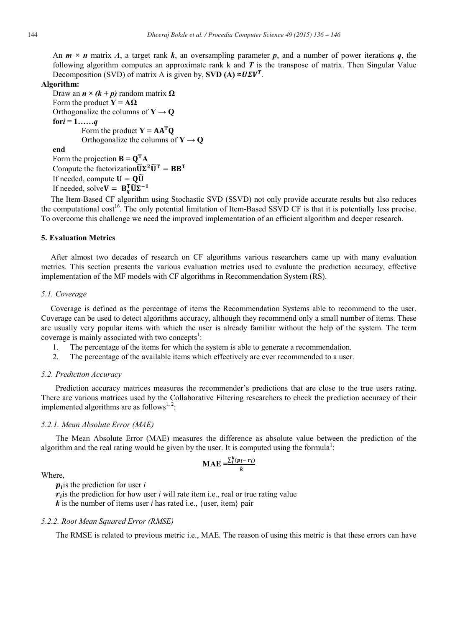An  $m \times n$  matrix A, a target rank k, an oversampling parameter p, and a number of power iterations q, the following algorithm computes an approximate rank  $k$  and  $T$  is the transpose of matrix. Then Singular Value Decomposition (SVD) of matrix A is given by, SVD (A)  $\approx U\Sigma V^{T}$ .

#### Algorithm:

Draw an  $n \times (k+p)$  random matrix  $\Omega$ Form the product  $Y = A\Omega$ Orthogonalize the columns of  $Y \rightarrow Q$ for  $i = 1$ ......q Form the product  $Y = AA^TQ$ Orthogonalize the columns of  $Y \rightarrow Q$ 

# end

Form the projection  $\mathbf{B} = \mathbf{Q}^{\mathsf{T}} \mathbf{A}$ Compute the factorization  $\widetilde{U}\Sigma^2\widetilde{U}^T = BB^T$ If needed, compute  $U = Q\widetilde{U}$ If needed, solve  $V = B_a^T \widetilde{U} \Sigma^{-1}$ 

The Item-Based CF algorithm using Stochastic SVD (SSVD) not only provide accurate results but also reduces the computational cost<sup>16</sup>. The only potential limitation of Item-Based SSVD CF is that it is potentially less precise. To overcome this challenge we need the improved implementation of an efficient algorithm and deeper research.

# **5. Evaluation Metrics**

After almost two decades of research on CF algorithms various researchers came up with many evaluation metrics. This section presents the various evaluation metrics used to evaluate the prediction accuracy, effective implementation of the MF models with CF algorithms in Recommendation System (RS).

#### 5.1. Coverage

Coverage is defined as the percentage of items the Recommendation Systems able to recommend to the user. Coverage can be used to detect algorithms accuracy, although they recommend only a small number of items. These are usually very popular items with which the user is already familiar without the help of the system. The term coverage is mainly associated with two concepts<sup>1</sup>:

- The percentage of the items for which the system is able to generate a recommendation.  $\mathbf{1}$ .
- 2. The percentage of the available items which effectively are ever recommended to a user.

# 5.2. Prediction Accuracy

Prediction accuracy matrices measures the recommender's predictions that are close to the true users rating. There are various matrices used by the Collaborative Filtering researchers to check the prediction accuracy of their implemented algorithms are as follows<sup>1, 2</sup>:

#### 5.2.1. Mean Absolute Error (MAE)

The Mean Absolute Error (MAE) measures the difference as absolute value between the prediction of the algorithm and the real rating would be given by the user. It is computed using the formula<sup>1</sup>:

$$
\mathbf{MAE} = \frac{\sum_{i}^{k} (p_i - r_i)}{k}
$$

# Where

 $p_i$  is the prediction for user i

 $r_i$  is the prediction for how user *i* will rate item i.e., real or true rating value  $\boldsymbol{k}$  is the number of items user *i* has rated i.e., {user, item} pair

# 5.2.2. Root Mean Squared Error (RMSE)

The RMSE is related to previous metric i.e., MAE. The reason of using this metric is that these errors can have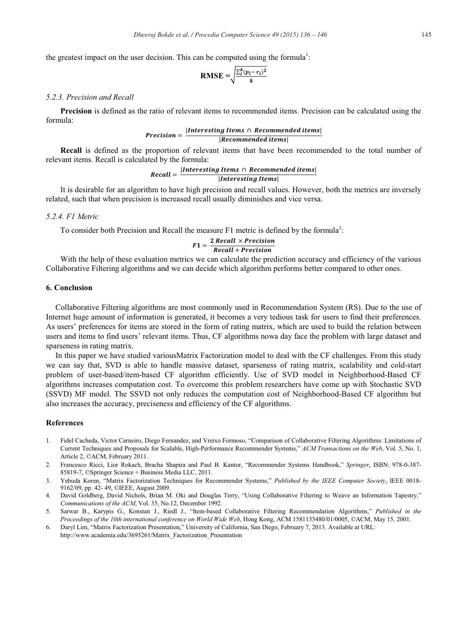the greatest impact on the user decision. This can be computed using the formula<sup>1</sup>:

$$
RMSE = \sqrt{\frac{\sum_{i}^{k} (p_i - r_i)^2}{k}}
$$

# 5.2.3 Precision and Recall

**Precision** is defined as the ratio of relevant items to recommended items. Precision can be calculated using the formula:

# $Precision = \frac{|Interesting \;Items \; \cap \; Recommended \; items|}{|R|}$  $|Recommended$  items $|$

**Recall** is defined as the proportion of relevant items that have been recommended to the total number of relevant items. Recall is calculated by the formula:

# $Recall = \frac{|Interesting \mid items \cap Recommended \mid items|}{|Recall|}$

# *Interesting Items*

It is desirable for an algorithm to have high precision and recall values. However, both the metrics are inversely related, such that when precision is increased recall usually diminishes and vice versa.

# 5.2.4. F1 Metric

To consider both Precision and Recall the measure F1 metric is defined by the formula<sup>1</sup>:

# $F1 = \frac{2 \text{ Recall} \times Precision}{\text{Recall} + Precision}$

With the help of these evaluation metrics we can calculate the prediction accuracy and efficiency of the various Collaborative Filtering algorithms and we can decide which algorithm performs better compared to other ones.

# 6 Conclusion

Collaborative Filtering algorithms are most commonly used in Recommendation System (RS). Due to the use of Internet huge amount of information is generated, it becomes a very tedious task for users to find their preferences. As users' preferences for items are stored in the form of rating matrix, which are used to build the relation between users and items to find users' relevant items. Thus, CF algorithms nowa day face the problem with large dataset and sparseness in rating matrix.

In this paper we have studied various Matrix Factorization model to deal with the CF challenges. From this study we can say that, SVD is able to handle massive dataset, sparseness of rating matrix, scalability and cold-start problem of user-based/item-based CF algorithm efficiently. Use of SVD model in Neighborhood-Based CF algorithms increases computation cost. To overcome this problem researchers have come up with Stochastic SVD (SSVD) MF model. The SSVD not only reduces the computation cost of Neighborhood-Based CF algorithm but also increases the accuracy, preciseness and efficiency of the CF algorithms.

# **References**

- Fidel Cacheda, Victor Carneiro, Diego Fernandez, and Vreixo Formoso, "Comparison of Collaborative Filtering Algorithms: Limitations of  $\mathbf{1}$ Current Techniques and Proposals for Scalable, High-Performance Recommender Systems," ACM Transactions on the Web, Vol. 5, No. 1, Article 2, ©ACM, February 2011.
- $2^{\circ}$ Francesco Ricci, Lior Rokach, Bracha Shapira and Paul B. Kantor, "Recommender Systems Handbook," Springer, ISBN: 978-0-387-85819-7, ©Springer Science + Business Media LLC, 2011.
- 3. Yehuda Koren, "Matrix Factorization Techniques for Recommender Systems," Published by the IEEE Computer Society, IEEE 0018-9162/09, pp. 42-49, ©IEEE, August 2009.
- 4. David Goldberg, David Nichols, Brian M. Oki and Douglas Terry, "Using Collaborative Filtering to Weave an Information Tapestry," Communications of the ACM, Vol. 35, No.12, December 1992.
- Sarwar B., Karypis G., Konstan J., Riedl J., "Item-based Collaborative Filtering Recommendation Algorithms," Published in the  $5.$ Proceedings of the 10th international conference on World Wide Web, Hong Kong, ACM 1581133480/01/0005, ©ACM, May 15, 2001.
- Daryl Lim, "Matrix Factorization Presentation," University of California, San Diego, February 7, 2013. Available at URL: 6. http://www.academia.edu/3695261/Matrix Factorization Presentation